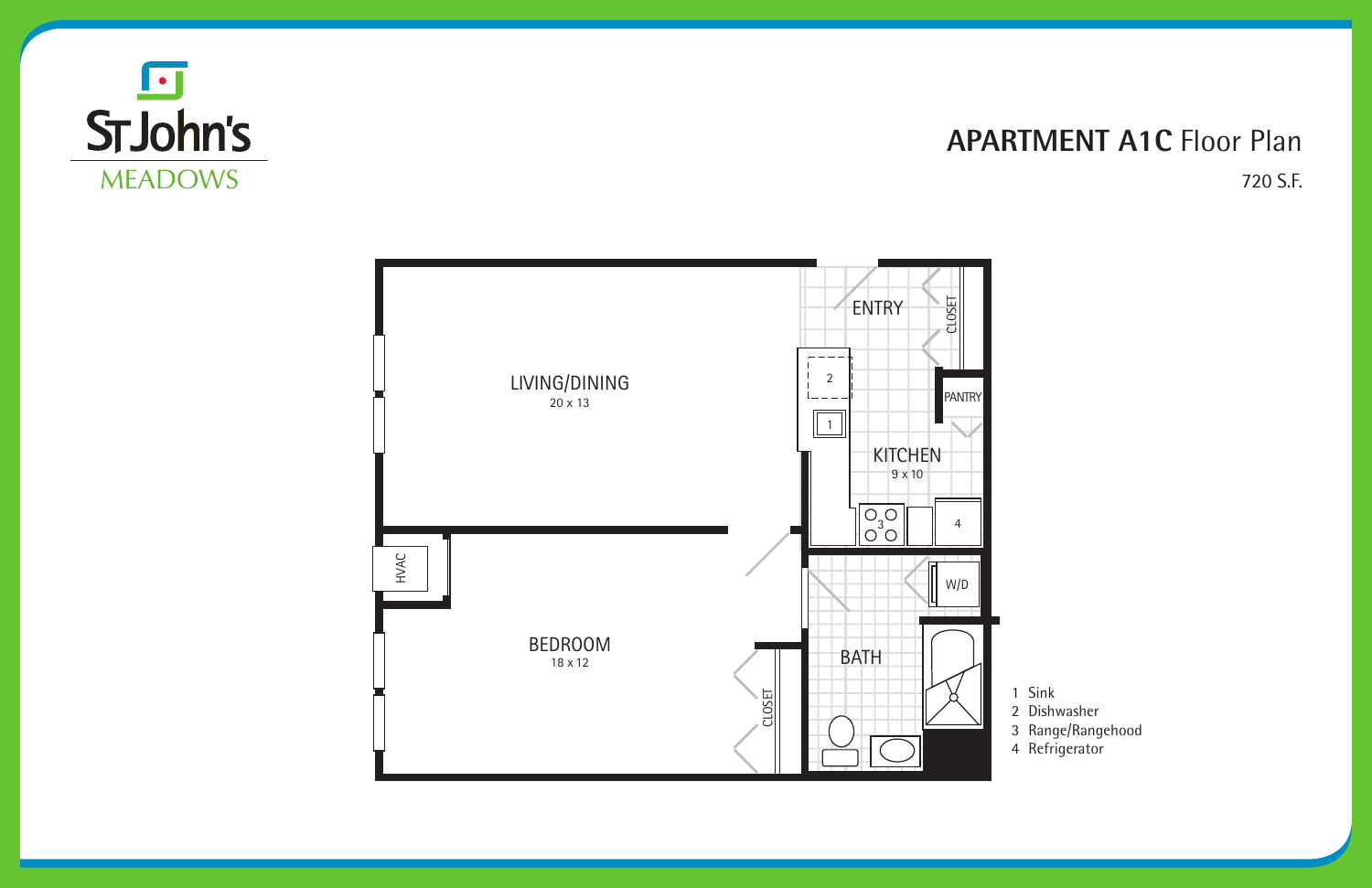

### **APARTMENT A1C Floor Plan** 720 S.F.



- 1 Sink
- 2 Dishwasher
- 3 Range/Rangehood
- 4 Refrigerator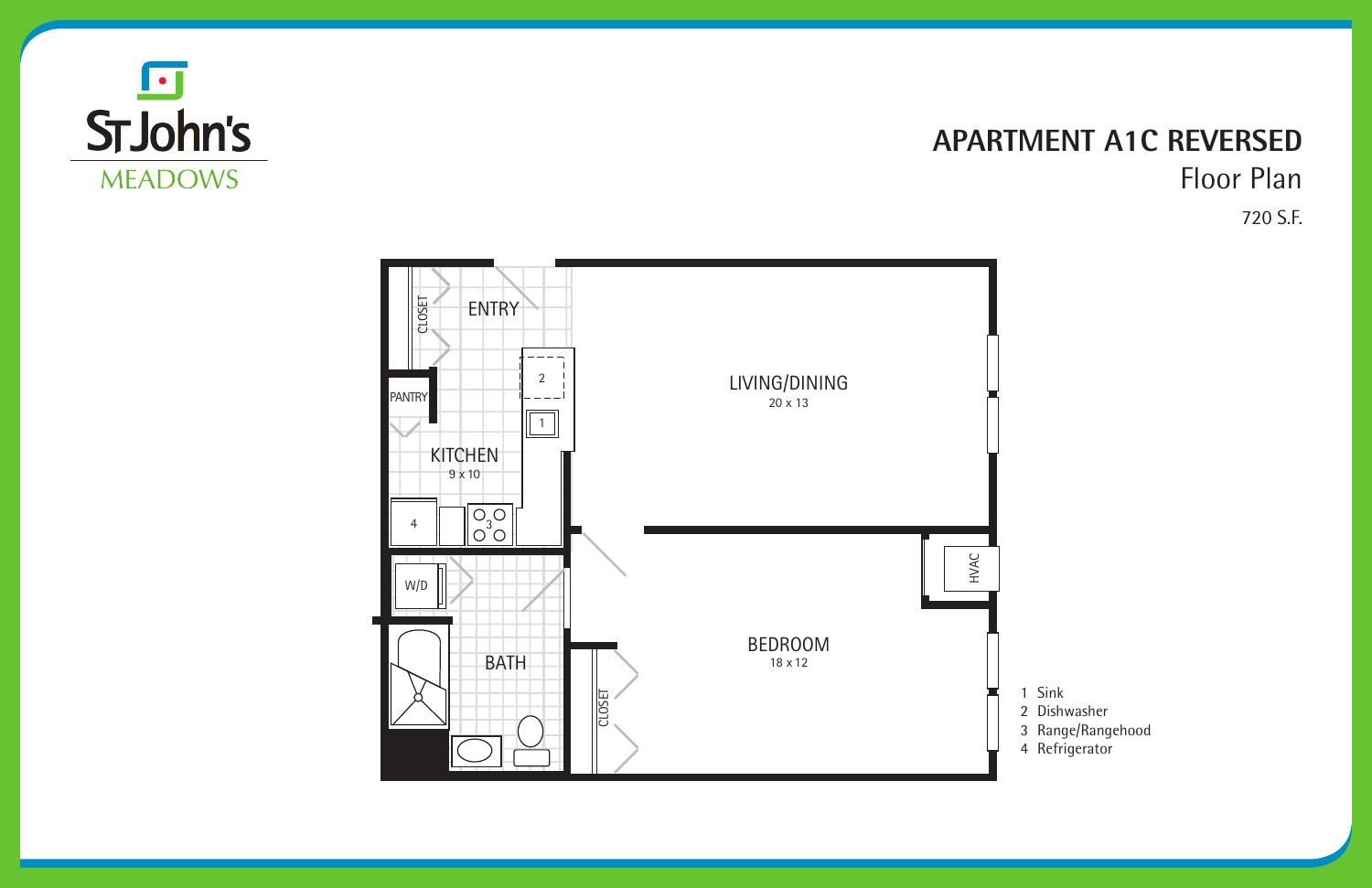

### **APARTMENT A1C REVERSED** Floor Plan 720 S.F.



- 1 Sink
- 2 Dishwasher
- 3 Range/Rangehood
- 4 Refrigerator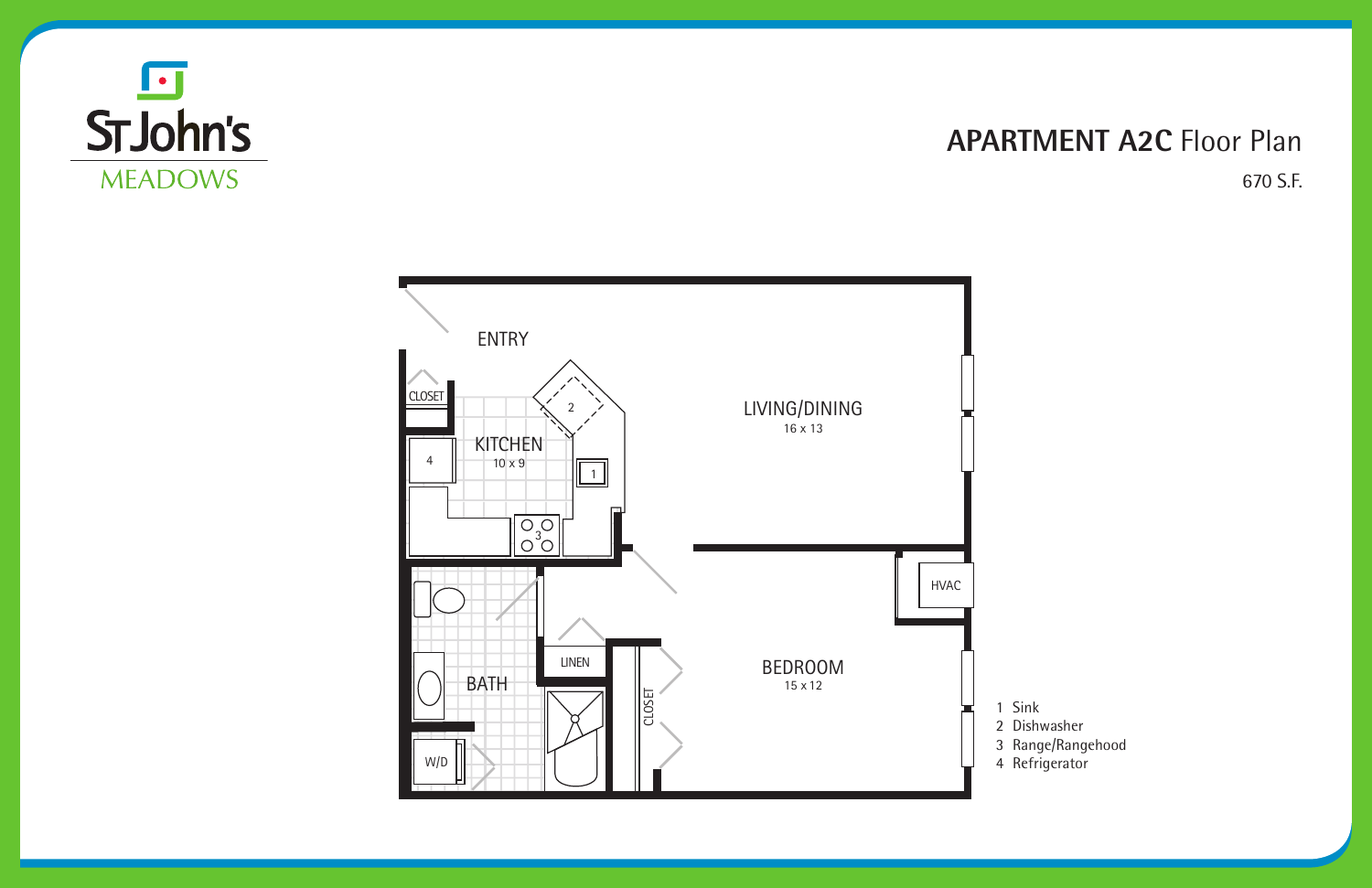### **APARTMENT A2C** Floor Plan 670 S.F.





1 Sink Dishwasher Range/Rangehood Refrigerator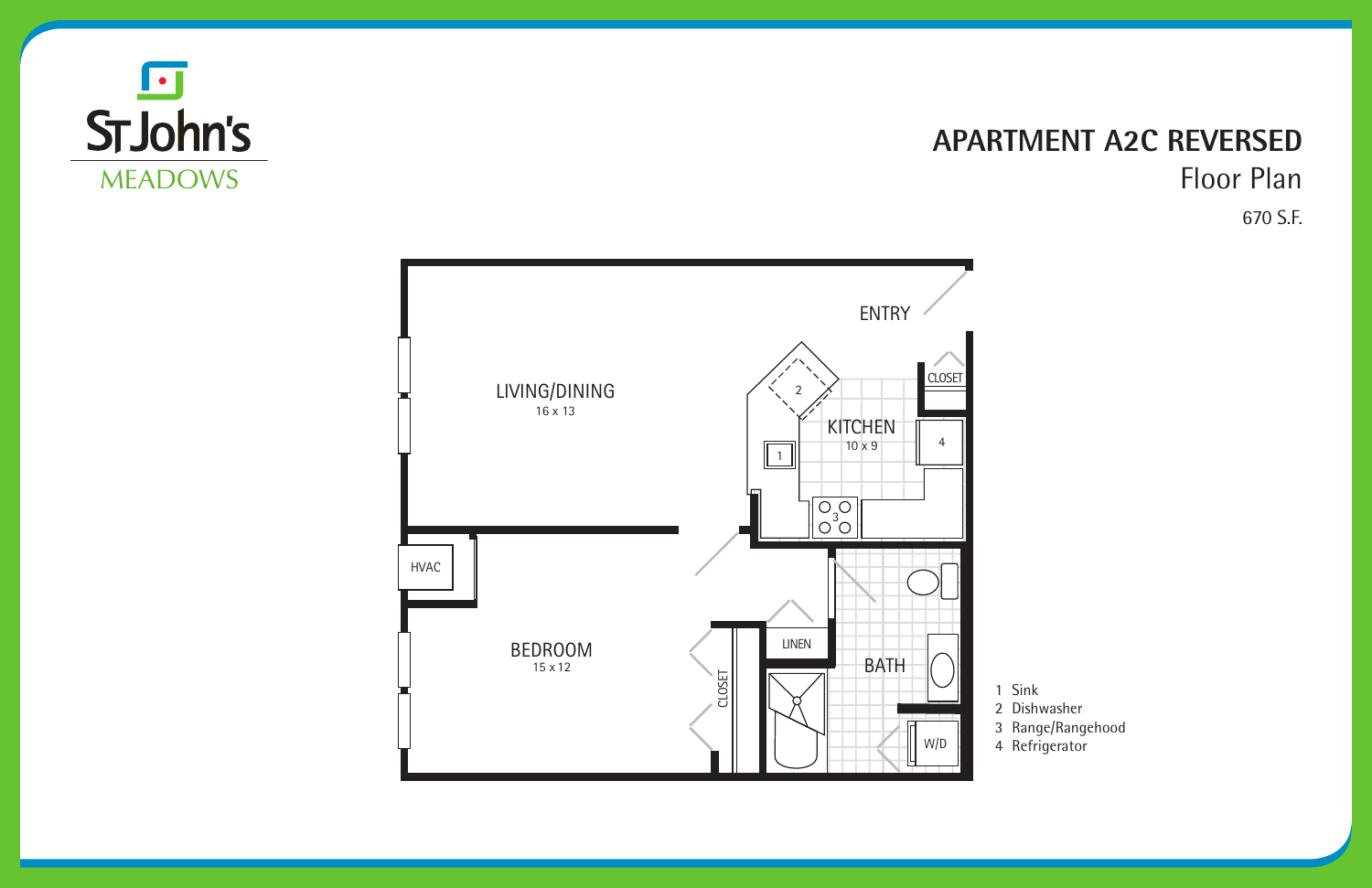#### **APARTMENT A2C REVERSED** Floor Plan 670 S.F.





1 Sink Dishwasher Range/Rangehood Refrigerator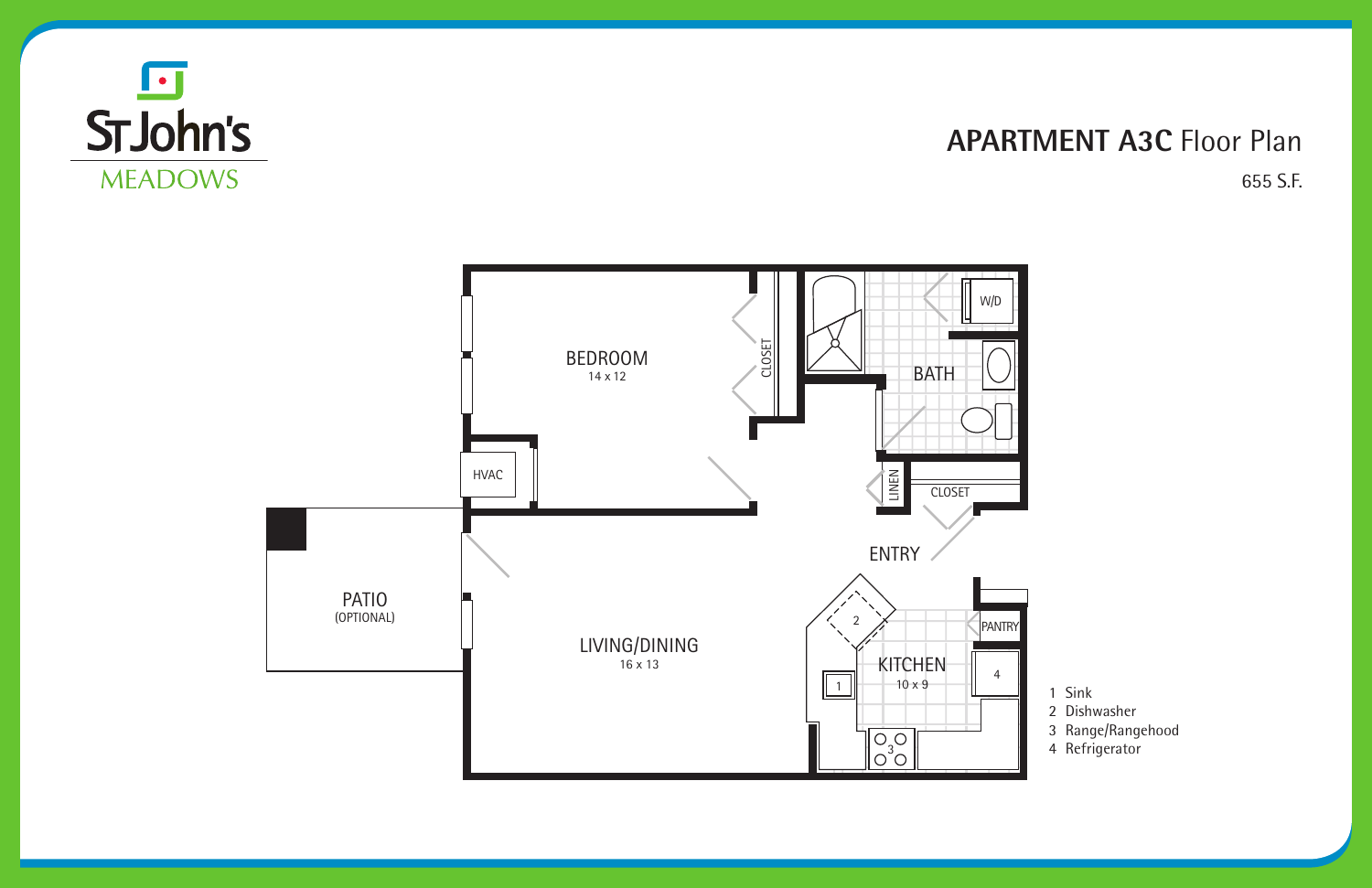#### **APARTMENT A3C** Floor Plan 655 S.F.





- 1 Sink
- 2 Dishwasher
- 3 Range/Rangehood
- 4 Refrigerator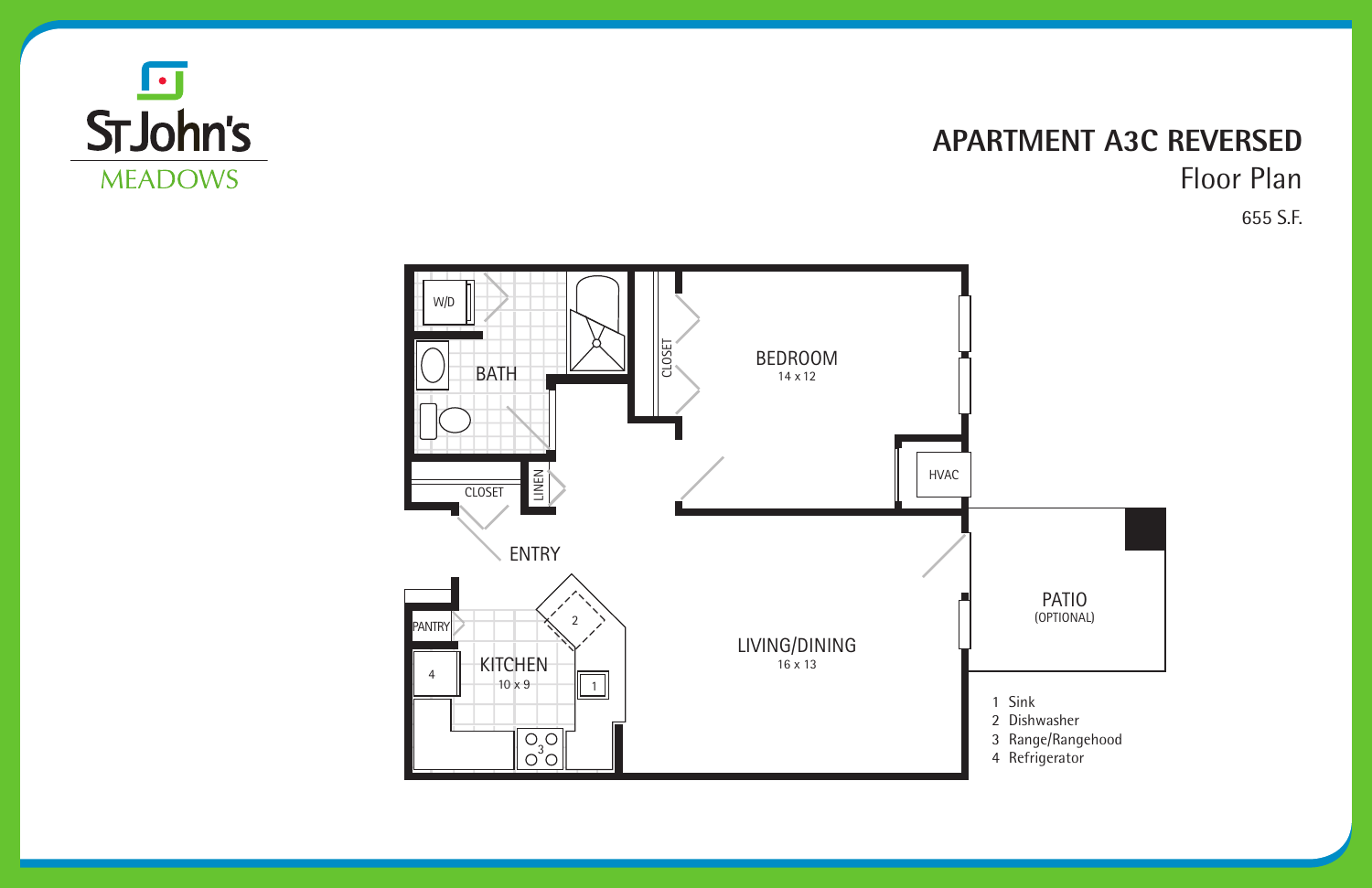#### **APARTMENT A3C REVERSED** Floor Plan 655 S.F.







1 Sink Dishwasher Range/Rangehood Refrigerator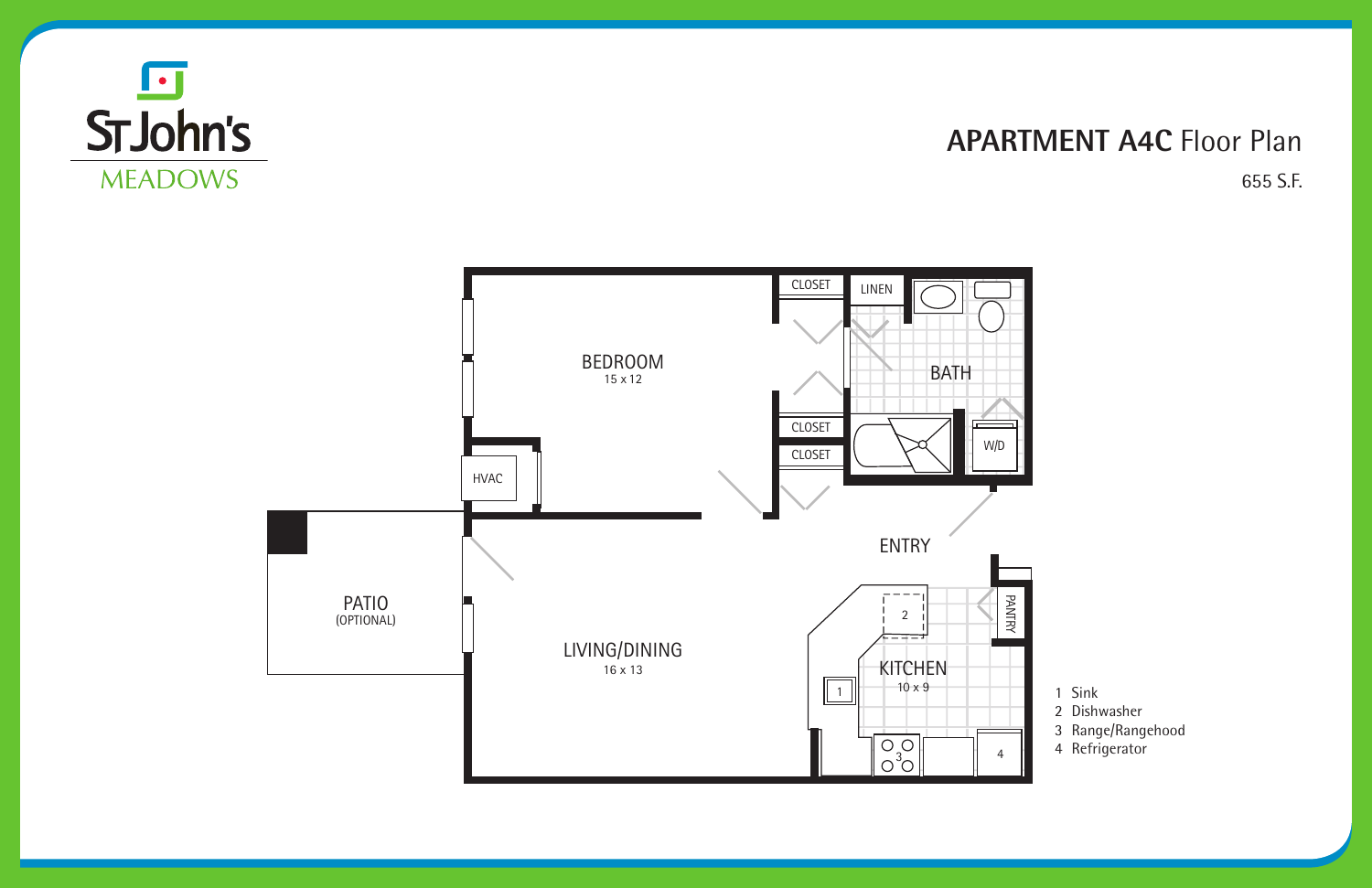#### **APARTMENT A4C** Floor Plan 655 S.F.





- 1 Sink
- 2 Dishwasher
- 3 Range/Rangehood
- 4 Refrigerator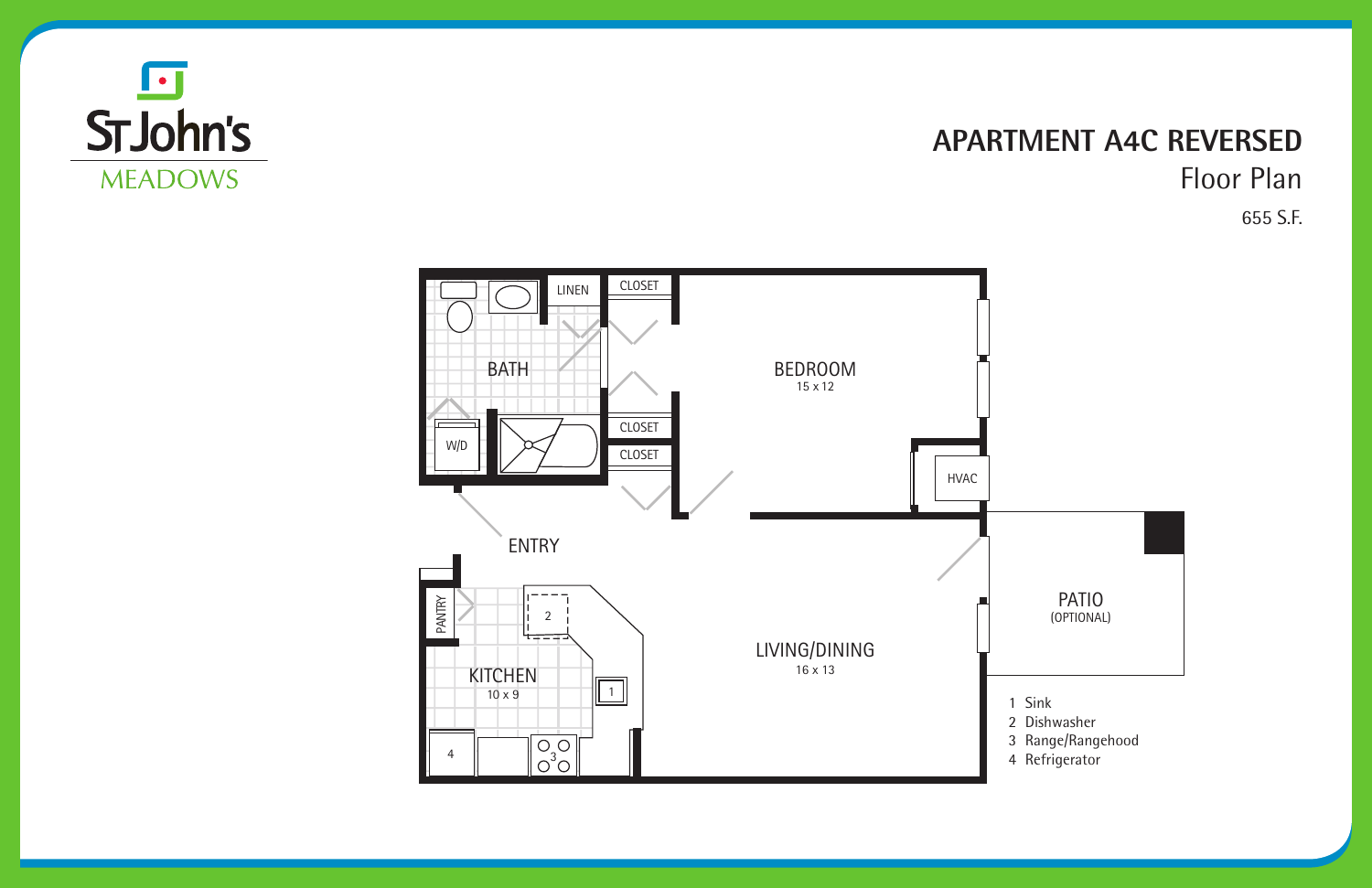

#### **APARTMENT A4C REVERSED** Floor Plan 655 S.F.



(OPTIONAL) PATIO

- 1 Sink
- 2 Dishwasher
- 3 Range/Rangehood
- 4 Refrigerator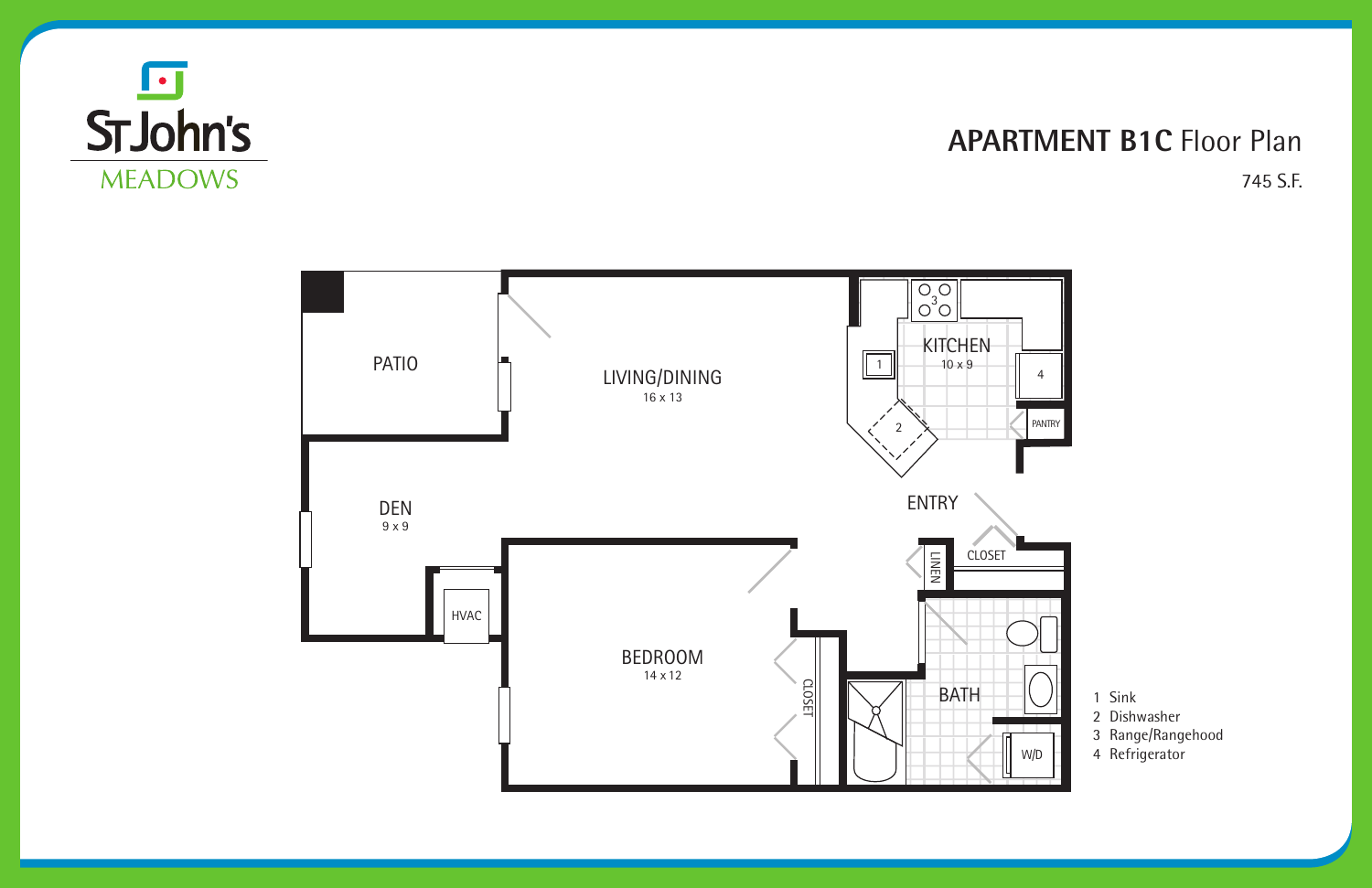### **APARTMENT B1C** Floor Plan 745 S.F.





- 1 Sink
- 2 Dishwasher
- 3 Range/Rangehood
- 4 Refrigerator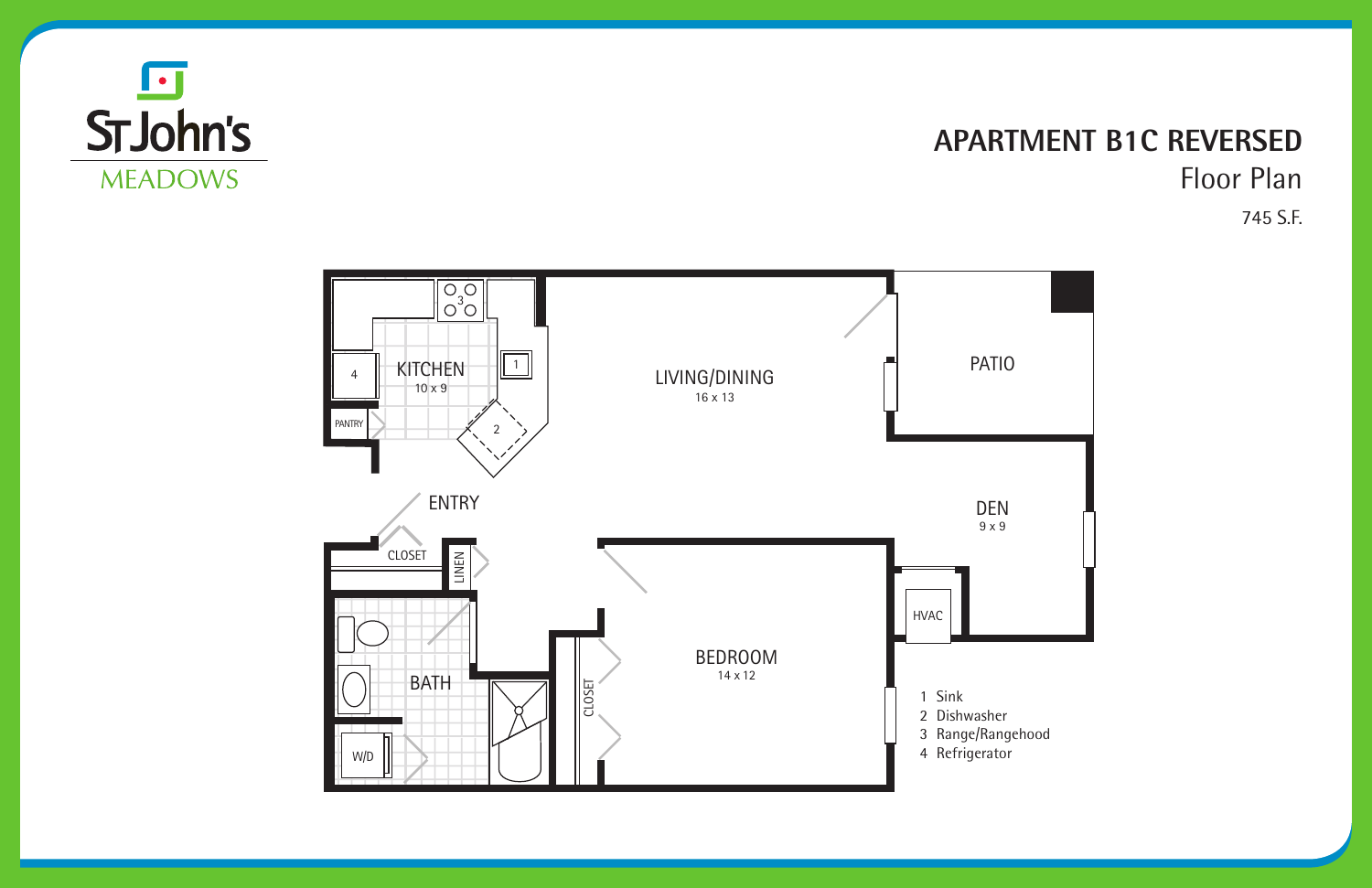

#### **APARTMENT B1C REVERSED** Floor Plan 745 S.F.

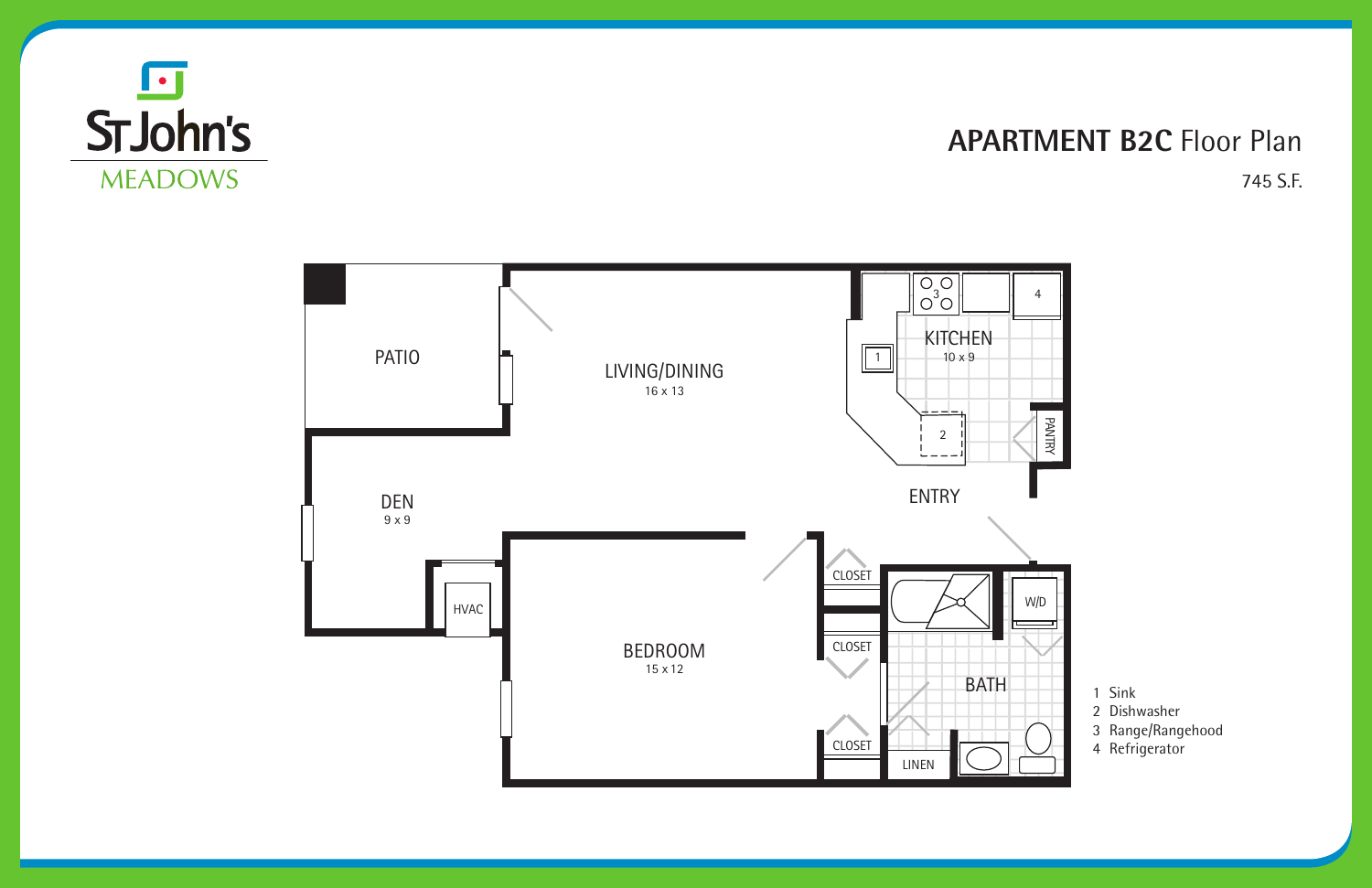#### **APARTMENT B2C** Floor Plan 745 S.F.





- 1 Sink
- 2 Dishwasher
- 3 Range/Rangehood
- 4 Refrigerator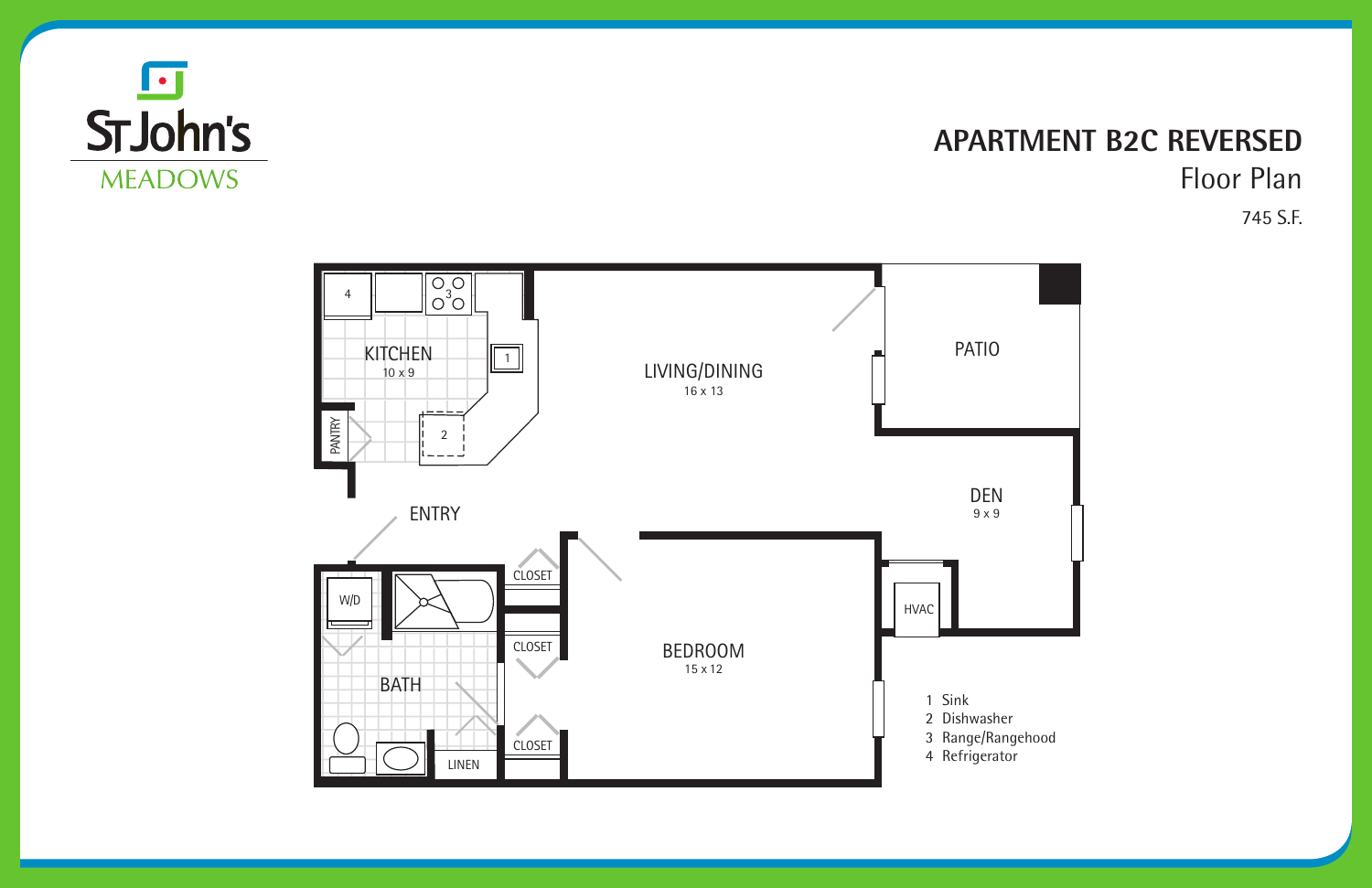

#### **APARTMENT B2C REVERSED** Floor Plan 745 S.F.

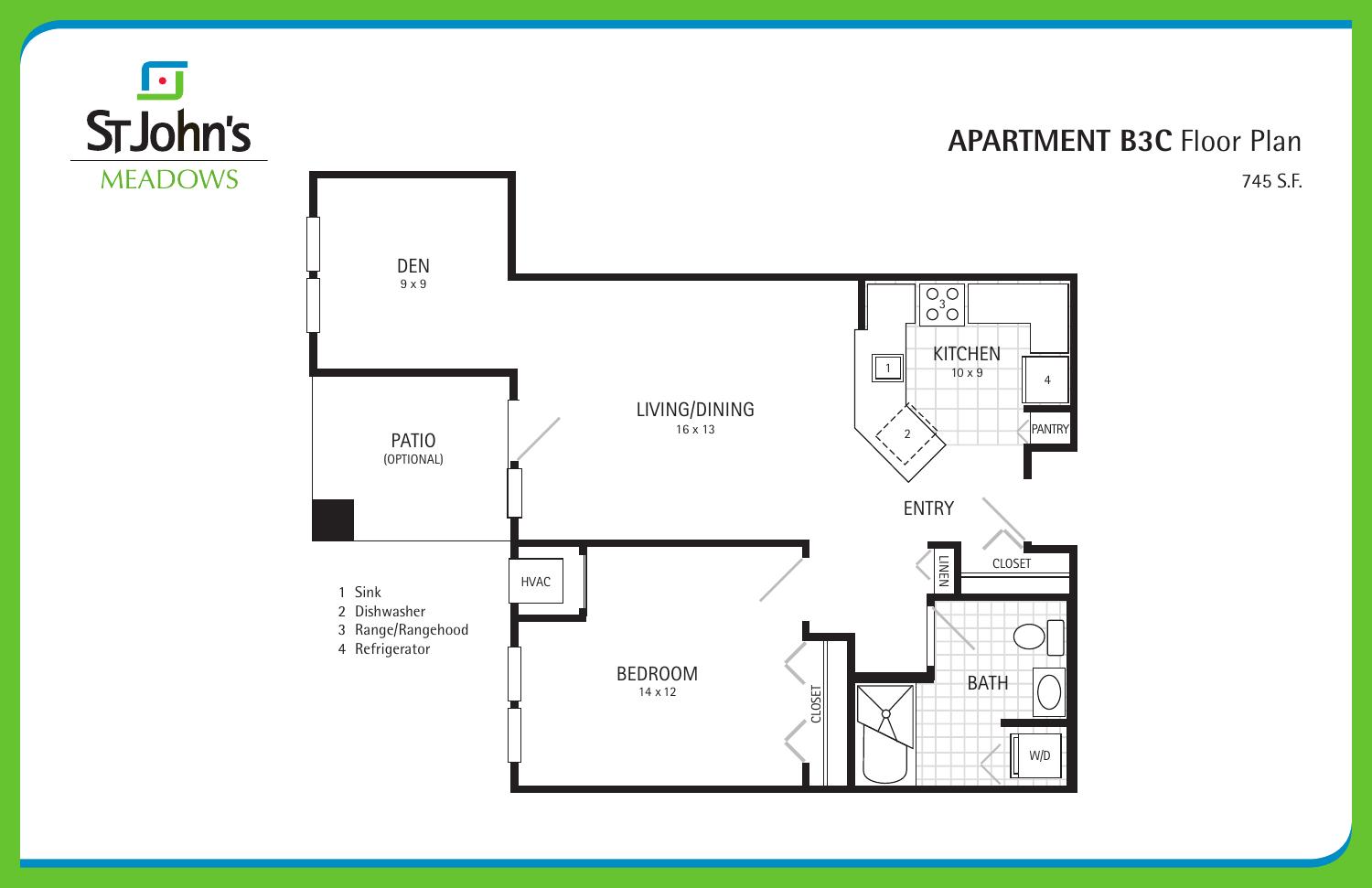#### **APARTMENT B3C** Floor Plan 745 S.F.



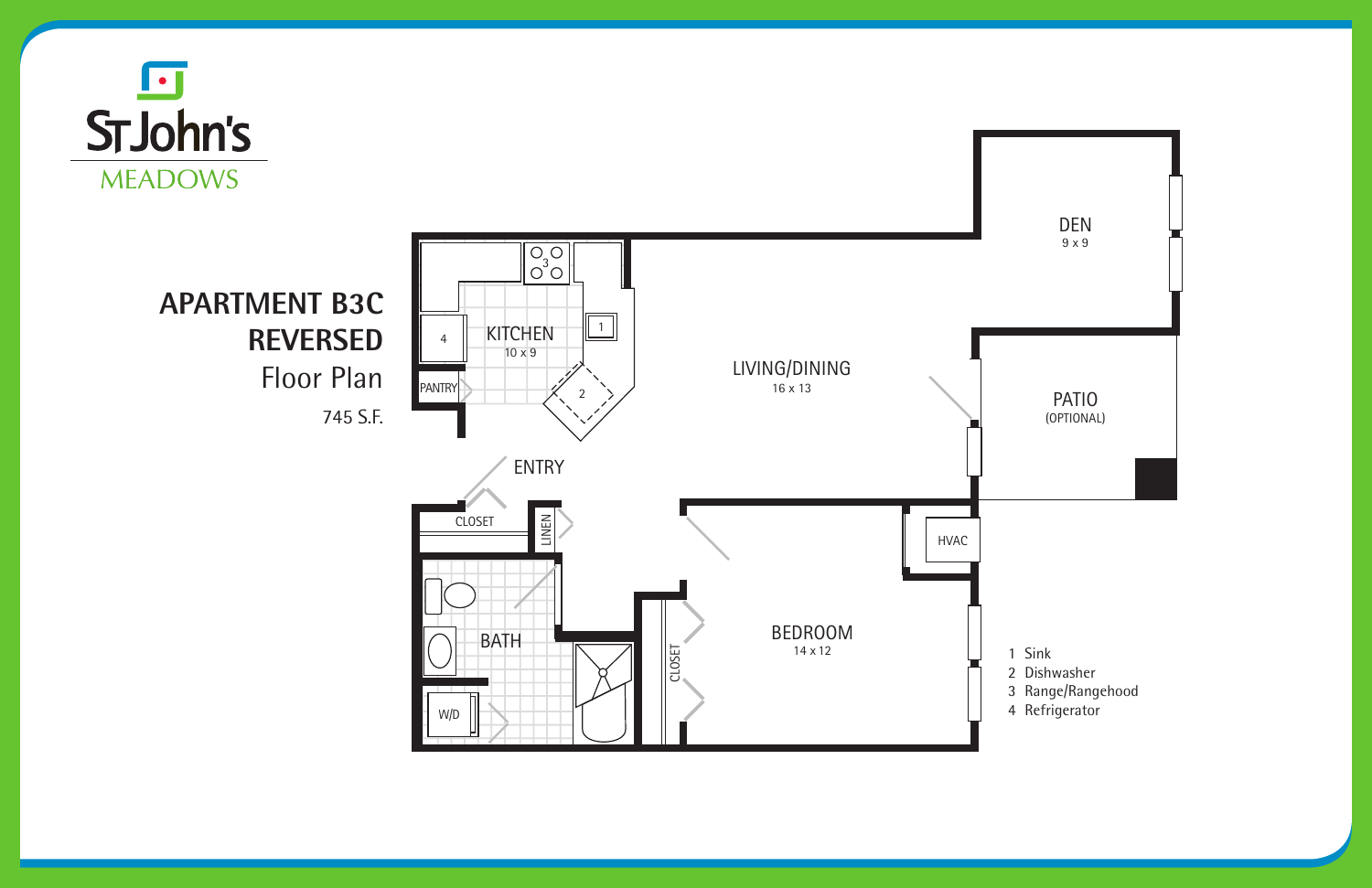





## **APARTMENT B3C REVERSED** Floor Plan

745 S.F.

- 1 Sink
- 2 Dishwasher
- 3 Range/Rangehood
- 4 Refrigerator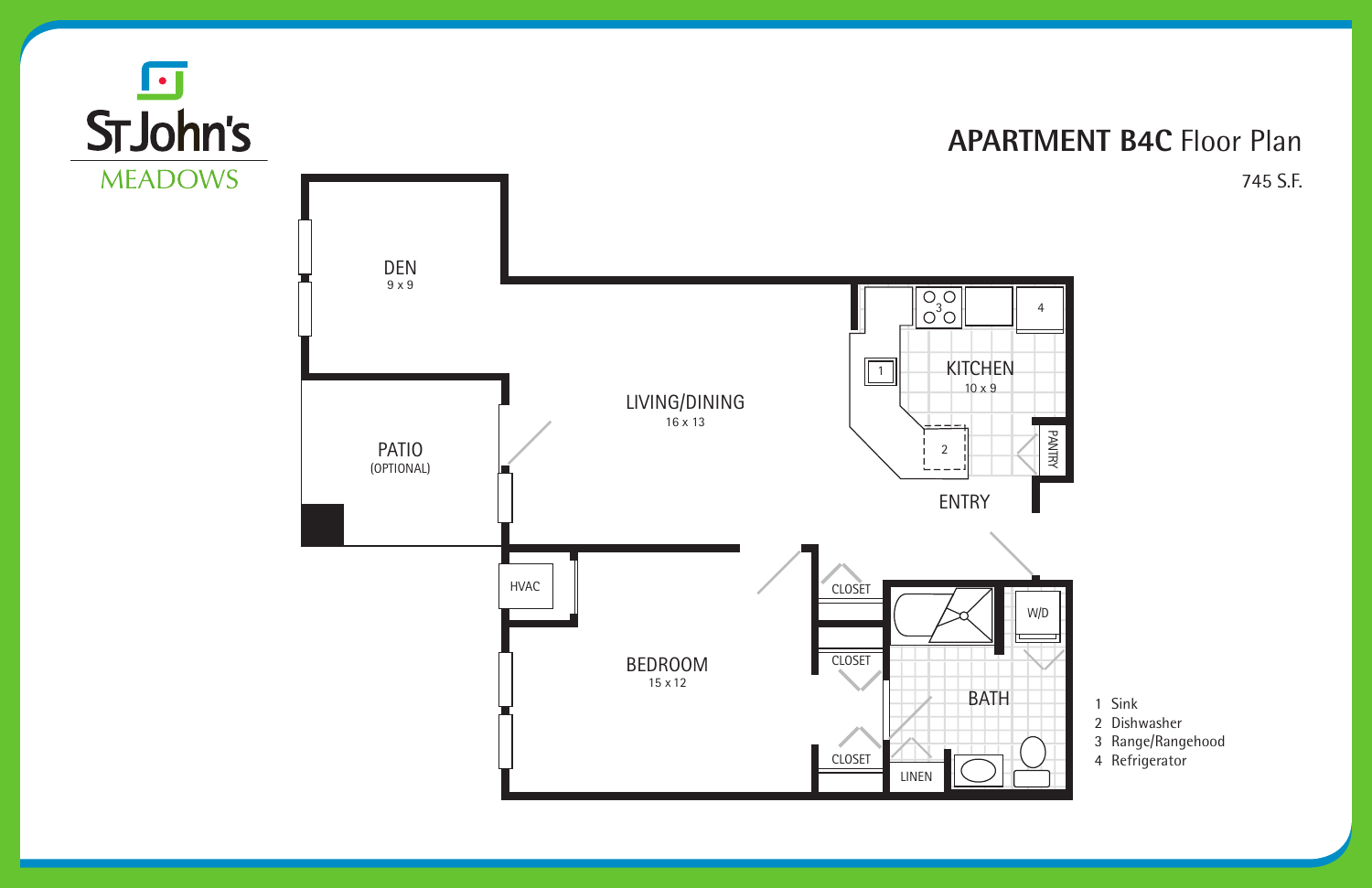#### **APARTMENT B4C** Floor Plan 745 S.F.





- 1 Sink
- 2 Dishwasher
- 3 Range/Rangehood
- 4 Refrigerator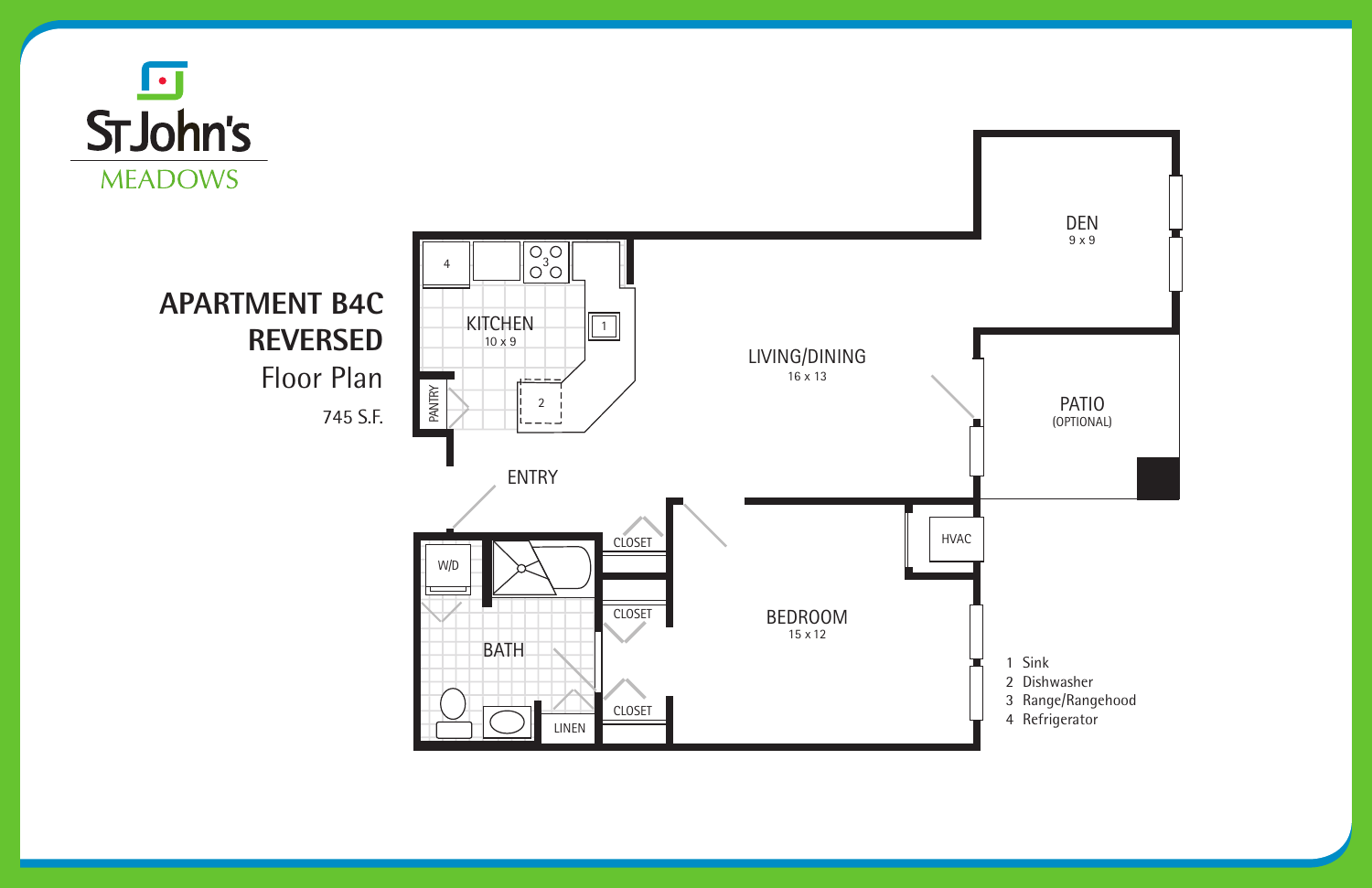





## **APARTMENT B4C REVERSED** Floor Plan

745 S.F.

- 1 Sink
- 2 Dishwasher
- 3 Range/Rangehood
- 4 Refrigerator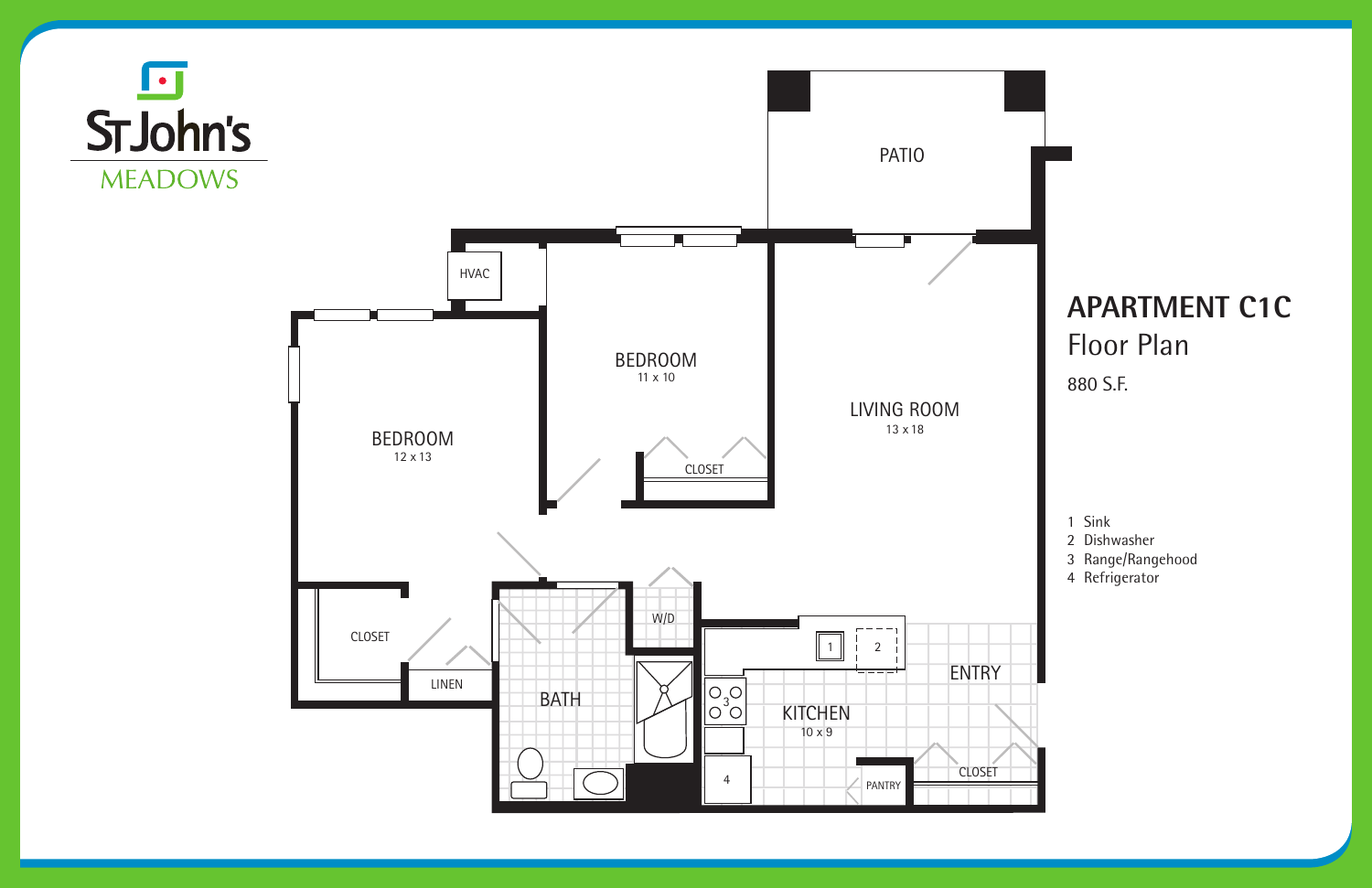## **APARTMENT C1C** Floor Plan

#### 880 S.F.







1 Sink

- 2 Dishwasher
- 3 Range/Rangehood
- 4 Refrigerator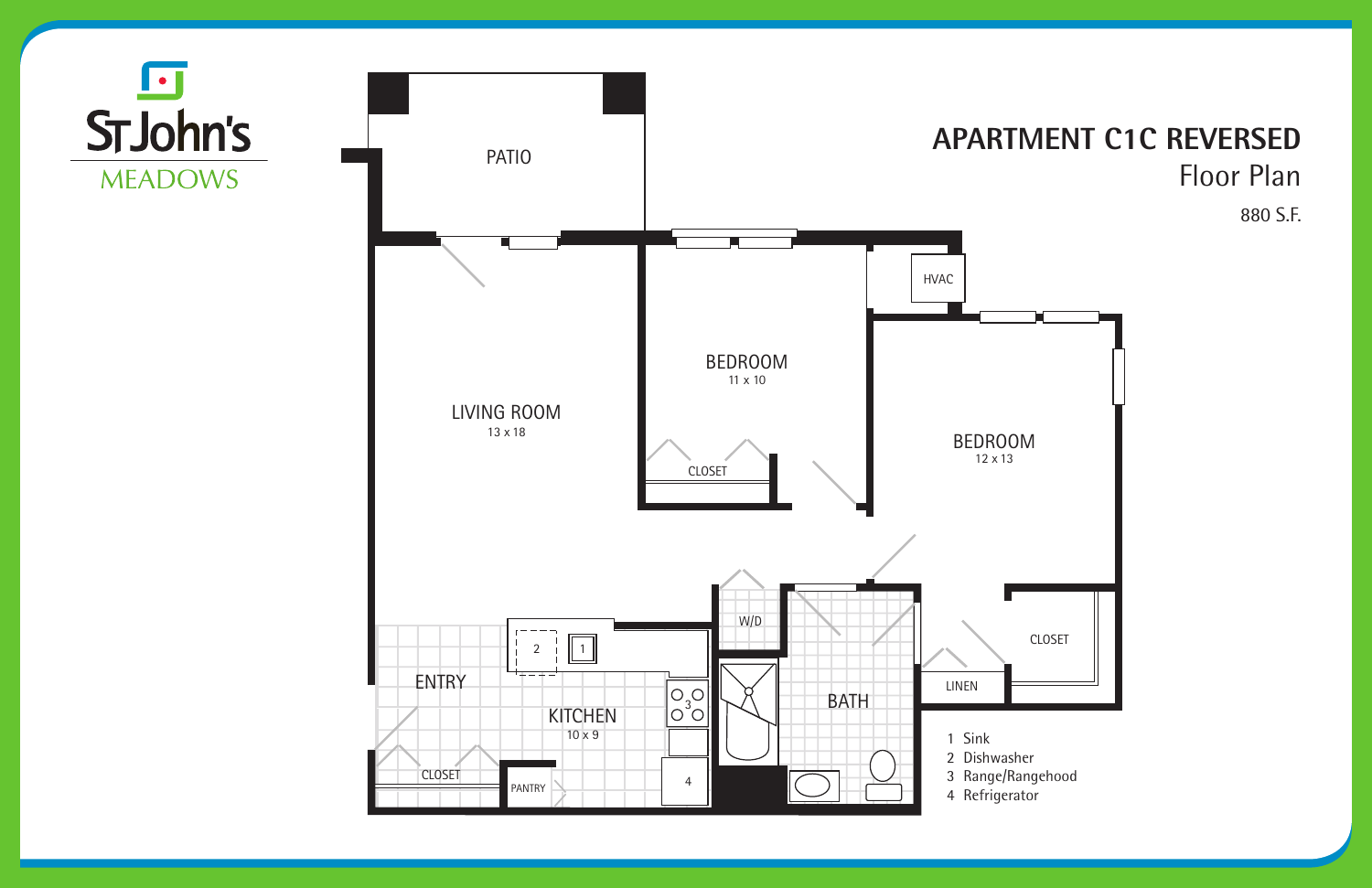#### **APARTMENT C1C REVERSED** Floor Plan 880 S.F.



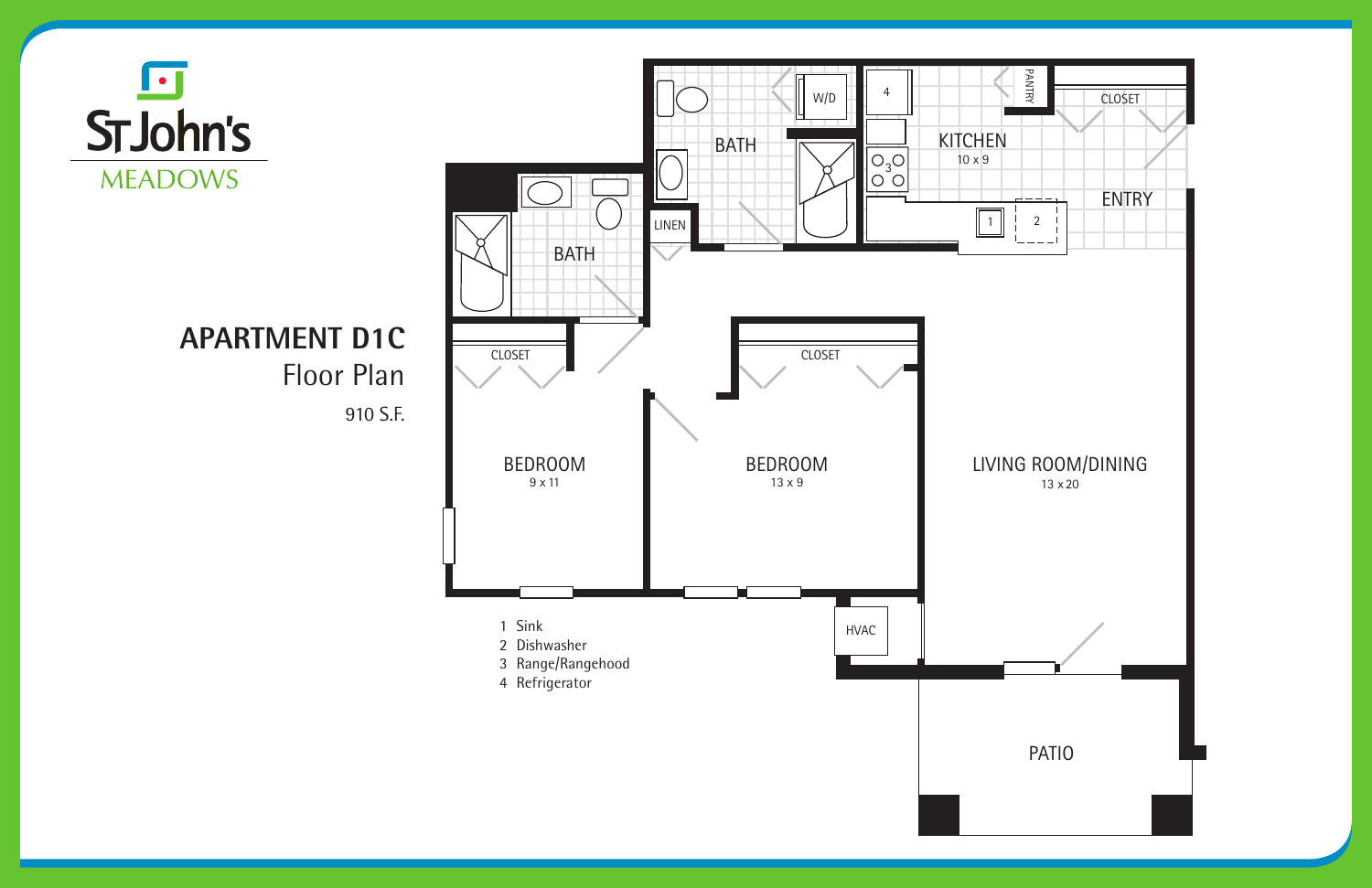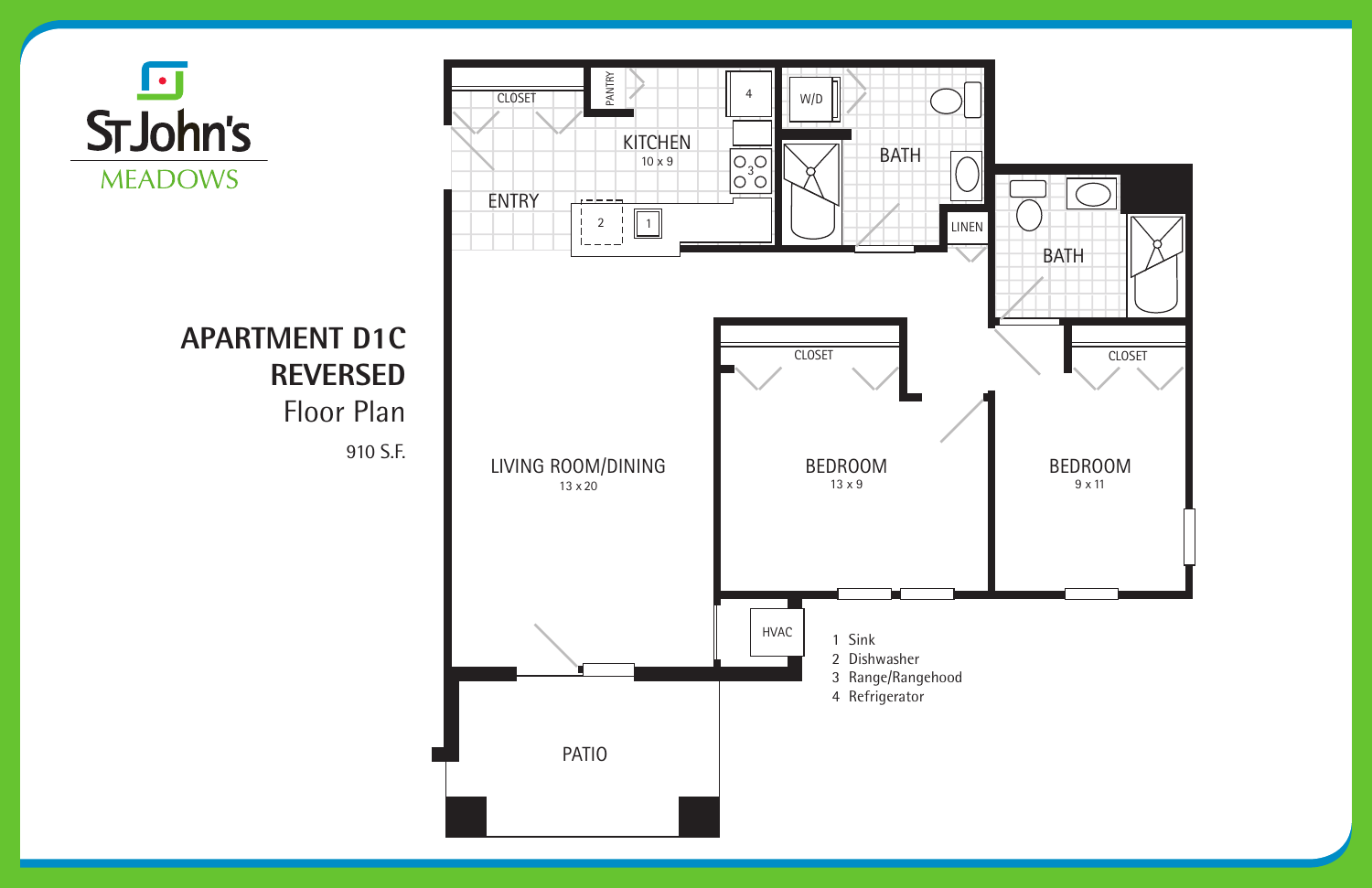



# **APARTMENT D1C REVERSED**

Floor Plan

910 S.F.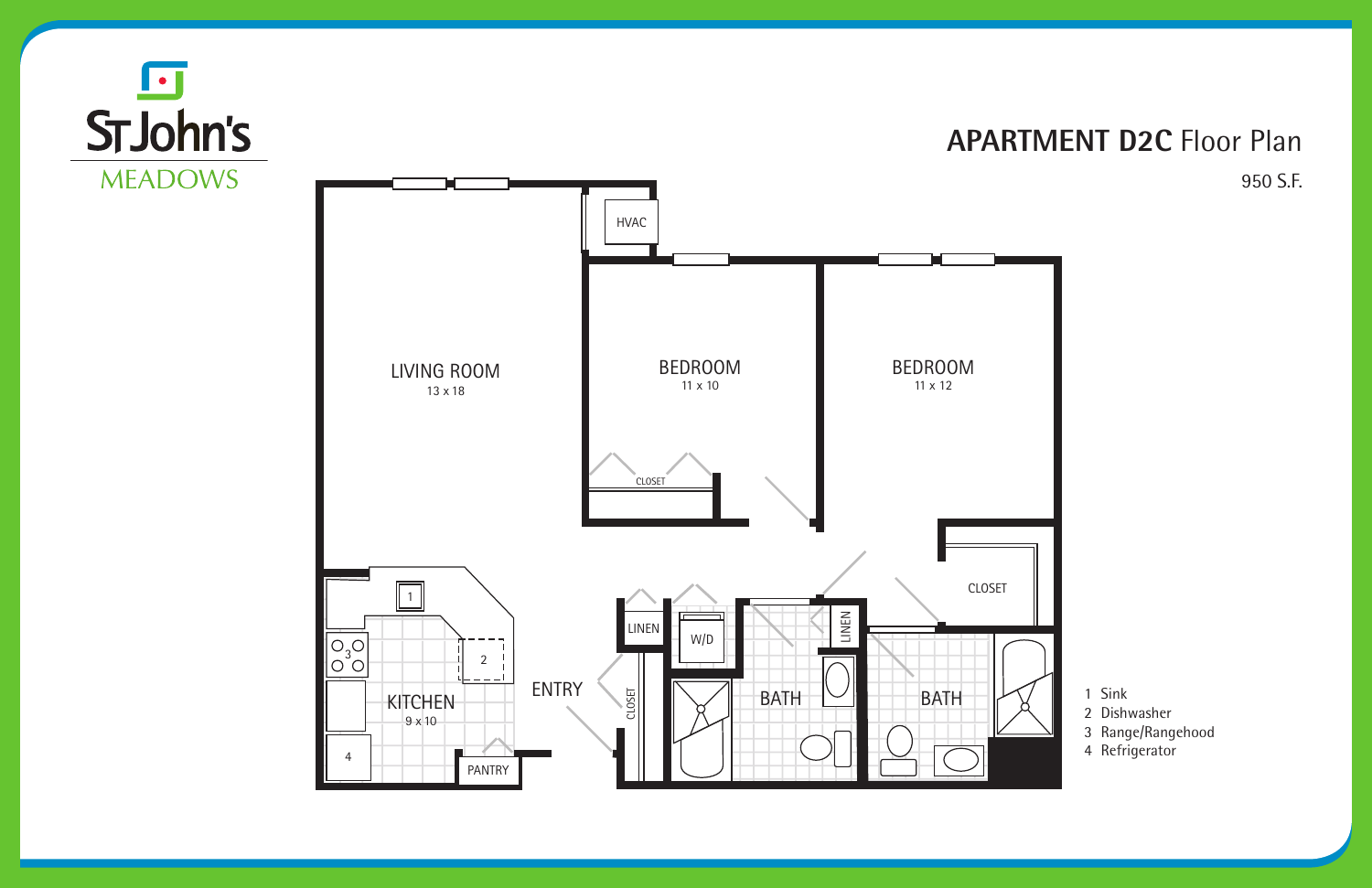4





**MEADOWS** 

PANTRY

#### **APARTMENT D2C** Floor Plan 950 S.F.

- 1 Sink
- 2 Dishwasher
- 3 Range/Rangehood
- 4 Refrigerator